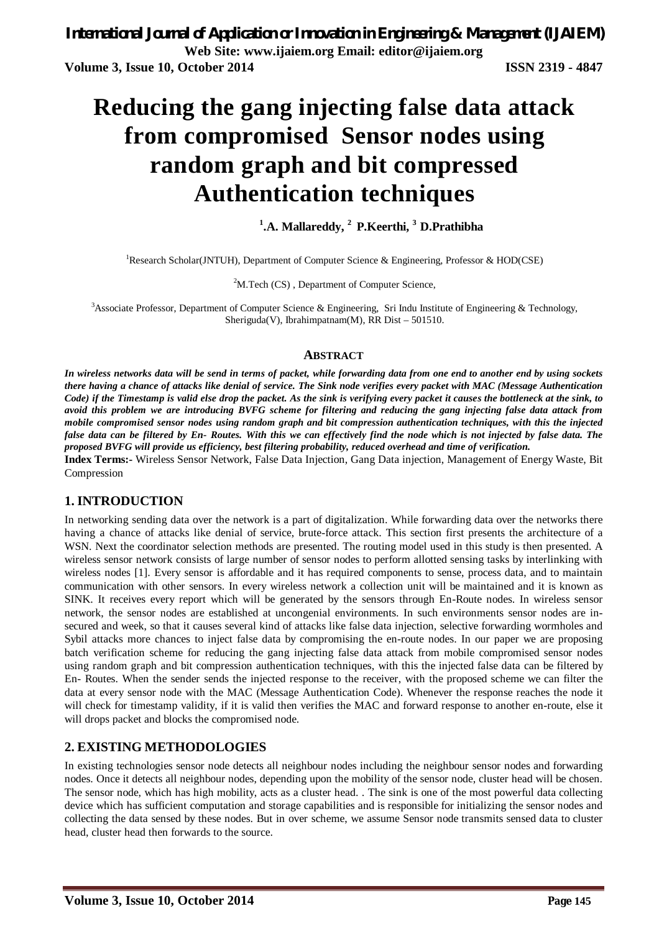# **Reducing the gang injecting false data attack from compromised Sensor nodes using random graph and bit compressed Authentication techniques**

# **1 .A. Mallareddy, <sup>2</sup>P.Keerthi, <sup>3</sup>D.Prathibha**

<sup>1</sup>Research Scholar(JNTUH), Department of Computer Science & Engineering, Professor & HOD(CSE)

 $2^2$ M.Tech (CS), Department of Computer Science,

<sup>3</sup>Associate Professor, Department of Computer Science & Engineering, Sri Indu Institute of Engineering & Technology, Sheriguda(V), Ibrahimpatnam(M), RR Dist – 501510.

#### **ABSTRACT**

*In wireless networks data will be send in terms of packet, while forwarding data from one end to another end by using sockets there having a chance of attacks like denial of service. The Sink node verifies every packet with MAC (Message Authentication Code) if the Timestamp is valid else drop the packet. As the sink is verifying every packet it causes the bottleneck at the sink, to avoid this problem we are introducing BVFG scheme for filtering and reducing the gang injecting false data attack from mobile compromised sensor nodes using random graph and bit compression authentication techniques, with this the injected false data can be filtered by En- Routes. With this we can effectively find the node which is not injected by false data. The proposed BVFG will provide us efficiency, best filtering probability, reduced overhead and time of verification.* **Index Terms:-** Wireless Sensor Network, False Data Injection, Gang Data injection, Management of Energy Waste, Bit Compression

## **1. INTRODUCTION**

In networking sending data over the network is a part of digitalization. While forwarding data over the networks there having a chance of attacks like denial of service, brute-force attack. This section first presents the architecture of a WSN. Next the coordinator selection methods are presented. The routing model used in this study is then presented. A wireless sensor network consists of large number of sensor nodes to perform allotted sensing tasks by interlinking with wireless nodes [1]. Every sensor is affordable and it has required components to sense, process data, and to maintain communication with other sensors. In every wireless network a collection unit will be maintained and it is known as SINK. It receives every report which will be generated by the sensors through En-Route nodes. In wireless sensor network, the sensor nodes are established at uncongenial environments. In such environments sensor nodes are insecured and week, so that it causes several kind of attacks like false data injection, selective forwarding wormholes and Sybil attacks more chances to inject false data by compromising the en-route nodes. In our paper we are proposing batch verification scheme for reducing the gang injecting false data attack from mobile compromised sensor nodes using random graph and bit compression authentication techniques, with this the injected false data can be filtered by En- Routes. When the sender sends the injected response to the receiver, with the proposed scheme we can filter the data at every sensor node with the MAC (Message Authentication Code). Whenever the response reaches the node it will check for timestamp validity, if it is valid then verifies the MAC and forward response to another en-route, else it will drops packet and blocks the compromised node.

## **2. EXISTING METHODOLOGIES**

In existing technologies sensor node detects all neighbour nodes including the neighbour sensor nodes and forwarding nodes. Once it detects all neighbour nodes, depending upon the mobility of the sensor node, cluster head will be chosen. The sensor node, which has high mobility, acts as a cluster head. . The sink is one of the most powerful data collecting device which has sufficient computation and storage capabilities and is responsible for initializing the sensor nodes and collecting the data sensed by these nodes. But in over scheme, we assume Sensor node transmits sensed data to cluster head, cluster head then forwards to the source.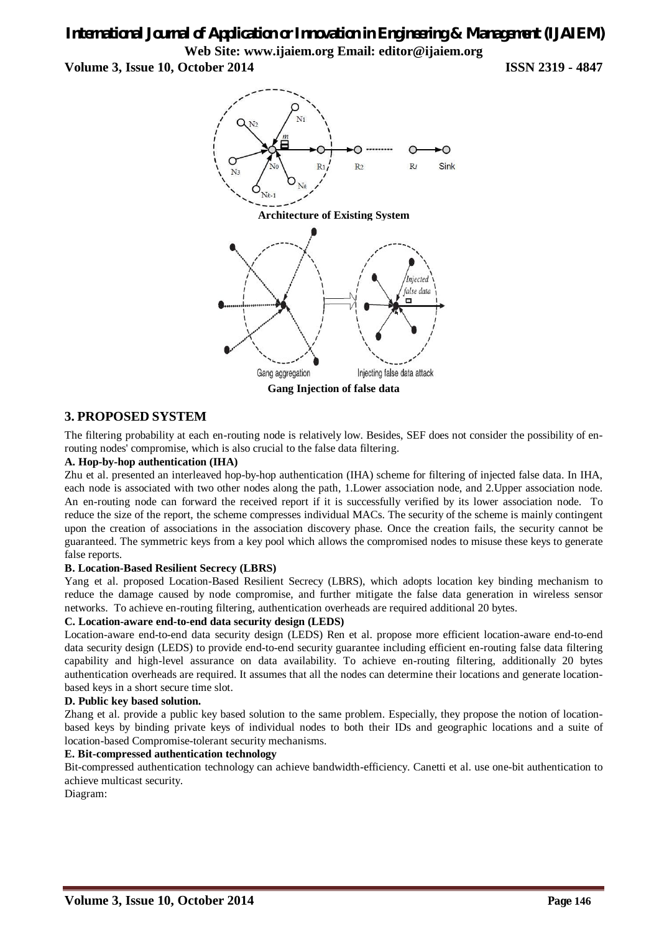# *International Journal of Application or Innovation in Engineering & Management (IJAIEM)* **Web Site: www.ijaiem.org Email: editor@ijaiem.org**

**Volume 3, Issue 10, October 2014 ISSN 2319 - 4847**



## **3. PROPOSED SYSTEM**

The filtering probability at each en-routing node is relatively low. Besides, SEF does not consider the possibility of enrouting nodes' compromise, which is also crucial to the false data filtering.

## **A. Hop-by-hop authentication (IHA)**

Zhu et al. presented an interleaved hop-by-hop authentication (IHA) scheme for filtering of injected false data. In IHA, each node is associated with two other nodes along the path, 1.Lower association node, and 2.Upper association node. An en-routing node can forward the received report if it is successfully verified by its lower association node. To reduce the size of the report, the scheme compresses individual MACs. The security of the scheme is mainly contingent upon the creation of associations in the association discovery phase. Once the creation fails, the security cannot be guaranteed. The symmetric keys from a key pool which allows the compromised nodes to misuse these keys to generate false reports.

#### **B. Location-Based Resilient Secrecy (LBRS)**

Yang et al. proposed Location-Based Resilient Secrecy (LBRS), which adopts location key binding mechanism to reduce the damage caused by node compromise, and further mitigate the false data generation in wireless sensor networks. To achieve en-routing filtering, authentication overheads are required additional 20 bytes.

#### **C. Location-aware end-to-end data security design (LEDS)**

Location-aware end-to-end data security design (LEDS) Ren et al. propose more efficient location-aware end-to-end data security design (LEDS) to provide end-to-end security guarantee including efficient en-routing false data filtering capability and high-level assurance on data availability. To achieve en-routing filtering, additionally 20 bytes authentication overheads are required. It assumes that all the nodes can determine their locations and generate locationbased keys in a short secure time slot.

#### **D. Public key based solution.**

Zhang et al. provide a public key based solution to the same problem. Especially, they propose the notion of locationbased keys by binding private keys of individual nodes to both their IDs and geographic locations and a suite of location-based Compromise-tolerant security mechanisms.

#### **E. Bit-compressed authentication technology**

Bit-compressed authentication technology can achieve bandwidth-efficiency. Canetti et al. use one-bit authentication to achieve multicast security.

Diagram: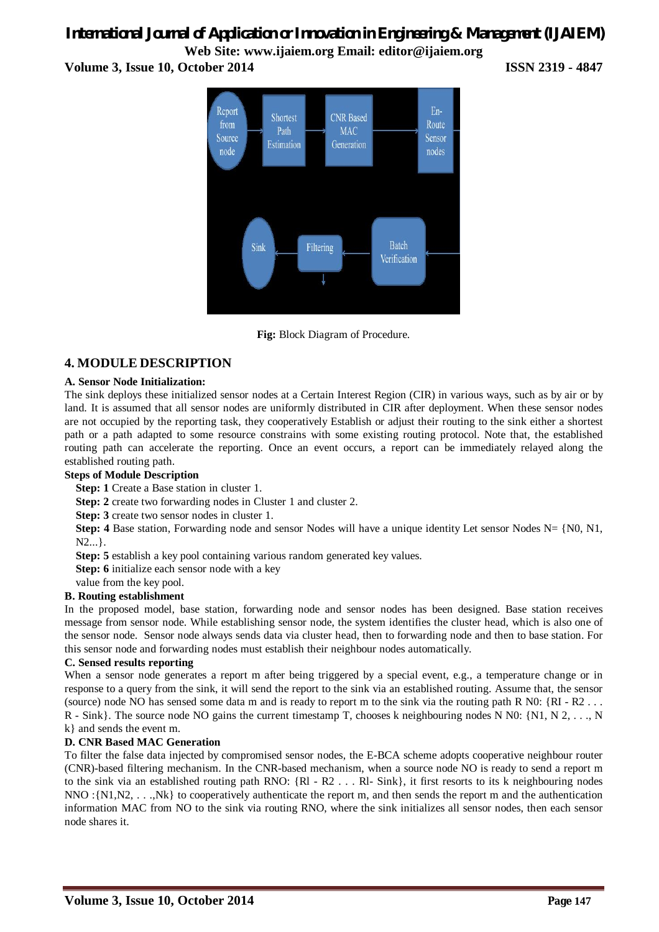# *International Journal of Application or Innovation in Engineering & Management (IJAIEM)* **Web Site: www.ijaiem.org Email: editor@ijaiem.org**

**Volume 3, Issue 10, October 2014 ISSN 2319 - 4847**





## **4. MODULE DESCRIPTION**

#### **A. Sensor Node Initialization:**

The sink deploys these initialized sensor nodes at a Certain Interest Region (CIR) in various ways, such as by air or by land. It is assumed that all sensor nodes are uniformly distributed in CIR after deployment. When these sensor nodes are not occupied by the reporting task, they cooperatively Establish or adjust their routing to the sink either a shortest path or a path adapted to some resource constrains with some existing routing protocol. Note that, the established routing path can accelerate the reporting. Once an event occurs, a report can be immediately relayed along the established routing path.

## **Steps of Module Description**

**Step: 1** Create a Base station in cluster 1.

**Step: 2** create two forwarding nodes in Cluster 1 and cluster 2.

**Step: 3** create two sensor nodes in cluster 1.

**Step: 4** Base station, Forwarding node and sensor Nodes will have a unique identity Let sensor Nodes N= {N0, N1, N2...}.

**Step: 5** establish a key pool containing various random generated key values.

**Step: 6** initialize each sensor node with a key

value from the key pool.

## **B. Routing establishment**

In the proposed model, base station, forwarding node and sensor nodes has been designed. Base station receives message from sensor node. While establishing sensor node, the system identifies the cluster head, which is also one of the sensor node. Sensor node always sends data via cluster head, then to forwarding node and then to base station. For this sensor node and forwarding nodes must establish their neighbour nodes automatically.

#### **C. Sensed results reporting**

When a sensor node generates a report m after being triggered by a special event, e.g., a temperature change or in response to a query from the sink, it will send the report to the sink via an established routing. Assume that, the sensor (source) node NO has sensed some data m and is ready to report m to the sink via the routing path R N0:  ${RI - R2 \dots}$ R - Sink}. The source node NO gains the current timestamp T, chooses k neighbouring nodes N N0: {N1, N 2, ..., N k} and sends the event m.

## **D. CNR Based MAC Generation**

To filter the false data injected by compromised sensor nodes, the E-BCA scheme adopts cooperative neighbour router (CNR)-based filtering mechanism. In the CNR-based mechanism, when a source node NO is ready to send a report m to the sink via an established routing path RNO: {Rl - R2 . . . Rl- Sink}, it first resorts to its k neighbouring nodes NNO :{N1,N2, . . .,Nk} to cooperatively authenticate the report m, and then sends the report m and the authentication information MAC from NO to the sink via routing RNO, where the sink initializes all sensor nodes, then each sensor node shares it.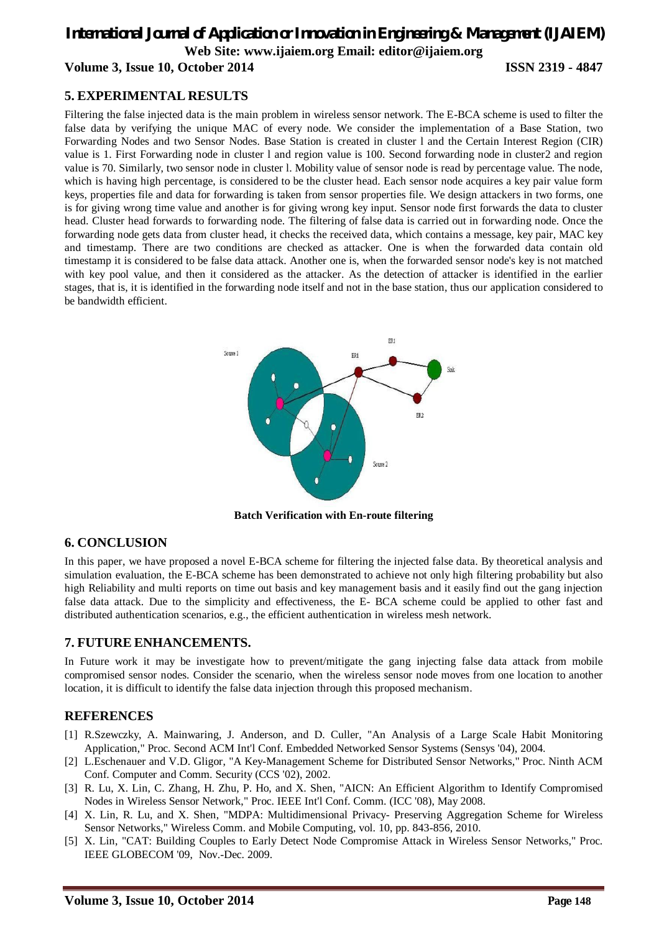# *International Journal of Application or Innovation in Engineering & Management (IJAIEM)* **Web Site: www.ijaiem.org Email: editor@ijaiem.org Volume 3, Issue 10, October 2014 ISSN 2319 - 4847**

## **5. EXPERIMENTAL RESULTS**

Filtering the false injected data is the main problem in wireless sensor network. The E-BCA scheme is used to filter the false data by verifying the unique MAC of every node. We consider the implementation of a Base Station, two Forwarding Nodes and two Sensor Nodes. Base Station is created in cluster l and the Certain Interest Region (CIR) value is 1. First Forwarding node in cluster l and region value is 100. Second forwarding node in cluster2 and region value is 70. Similarly, two sensor node in cluster l. Mobility value of sensor node is read by percentage value. The node, which is having high percentage, is considered to be the cluster head. Each sensor node acquires a key pair value form keys, properties file and data for forwarding is taken from sensor properties file. We design attackers in two forms, one is for giving wrong time value and another is for giving wrong key input. Sensor node first forwards the data to cluster head. Cluster head forwards to forwarding node. The filtering of false data is carried out in forwarding node. Once the forwarding node gets data from cluster head, it checks the received data, which contains a message, key pair, MAC key and timestamp. There are two conditions are checked as attacker. One is when the forwarded data contain old timestamp it is considered to be false data attack. Another one is, when the forwarded sensor node's key is not matched with key pool value, and then it considered as the attacker. As the detection of attacker is identified in the earlier stages, that is, it is identified in the forwarding node itself and not in the base station, thus our application considered to be bandwidth efficient.



**Batch Verification with En-route filtering**

## **6. CONCLUSION**

In this paper, we have proposed a novel E-BCA scheme for filtering the injected false data. By theoretical analysis and simulation evaluation, the E-BCA scheme has been demonstrated to achieve not only high filtering probability but also high Reliability and multi reports on time out basis and key management basis and it easily find out the gang injection false data attack. Due to the simplicity and effectiveness, the E- BCA scheme could be applied to other fast and distributed authentication scenarios, e.g., the efficient authentication in wireless mesh network.

## **7. FUTURE ENHANCEMENTS.**

In Future work it may be investigate how to prevent/mitigate the gang injecting false data attack from mobile compromised sensor nodes. Consider the scenario, when the wireless sensor node moves from one location to another location, it is difficult to identify the false data injection through this proposed mechanism.

## **REFERENCES**

- [1] R.Szewczky, A. Mainwaring, J. Anderson, and D. Culler, "An Analysis of a Large Scale Habit Monitoring Application," Proc. Second ACM Int'l Conf. Embedded Networked Sensor Systems (Sensys '04), 2004.
- [2] L.Eschenauer and V.D. Gligor, "A Key-Management Scheme for Distributed Sensor Networks," Proc. Ninth ACM Conf. Computer and Comm. Security (CCS '02), 2002.
- [3] R. Lu, X. Lin, C. Zhang, H. Zhu, P. Ho, and X. Shen, "AICN: An Efficient Algorithm to Identify Compromised Nodes in Wireless Sensor Network," Proc. IEEE Int'l Conf. Comm. (ICC '08), May 2008.
- [4] X. Lin, R. Lu, and X. Shen, "MDPA: Multidimensional Privacy- Preserving Aggregation Scheme for Wireless Sensor Networks," Wireless Comm. and Mobile Computing, vol. 10, pp. 843-856, 2010.
- [5] X. Lin, "CAT: Building Couples to Early Detect Node Compromise Attack in Wireless Sensor Networks," Proc. IEEE GLOBECOM '09, Nov.-Dec. 2009.